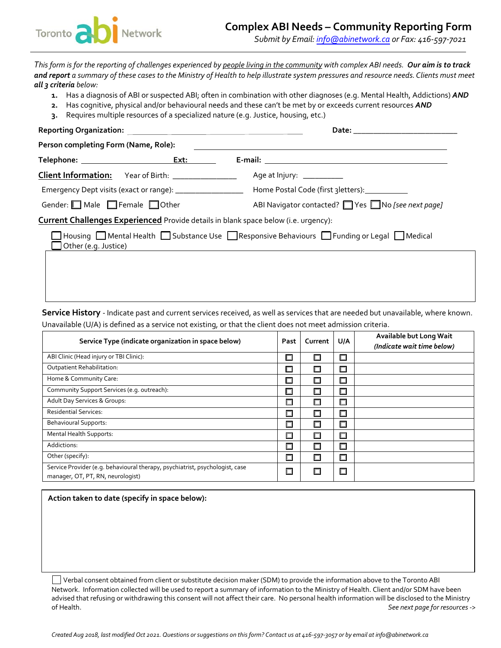

*Submit by Email: info@abinetwork.ca or Fax: 416-597-7021* 

*This form is for the reporting of challenges experienced by people living in the community with complex ABI needs. Our aim is to track and report a summary of these cases to the Ministry of Health to help illustrate system pressures and resource needs.Clients must meet all 3 criteria below:*

- **1.** Has a diagnosis of ABI or suspected ABI; often in combination with other diagnoses (e.g. Mental Health, Addictions) *AND*
- **2.** Has cognitive, physical and/or behavioural needs and these can't be met by or exceeds current resources *AND*
- **3.** Requires multiple resources of a specialized nature (e.g. Justice, housing, etc.)

| Person completing Form (Name, Role):                                                                              |                                                            |                                                   |  |  |  |  |  |
|-------------------------------------------------------------------------------------------------------------------|------------------------------------------------------------|---------------------------------------------------|--|--|--|--|--|
|                                                                                                                   |                                                            |                                                   |  |  |  |  |  |
|                                                                                                                   | Client Information: Year of Birth: ________________        | Age at Injury: ___________                        |  |  |  |  |  |
|                                                                                                                   | Emergency Dept visits (exact or range): __________________ | Home Postal Code (first 3 letters): _____________ |  |  |  |  |  |
| Gender: $\Box$ Male $\Box$ Female $\Box$ Other                                                                    |                                                            | ABI Navigator contacted? Yes No [see next page]   |  |  |  |  |  |
| <b>Current Challenges Experienced</b> Provide details in blank space below (i.e. urgency):                        |                                                            |                                                   |  |  |  |  |  |
| Housing Mental Health Substance Use Responsive Behaviours Funding or Legal Medical<br>$\Box$ Other (e.g. Justice) |                                                            |                                                   |  |  |  |  |  |
|                                                                                                                   |                                                            |                                                   |  |  |  |  |  |
|                                                                                                                   |                                                            |                                                   |  |  |  |  |  |
|                                                                                                                   |                                                            |                                                   |  |  |  |  |  |

**Service History** - Indicate past and current services received, as well as services that are needed but unavailable, where known. Unavailable (U/A) is defined as a service not existing, or that the client does not meet admission criteria.

| Service Type (indicate organization in space below)                                                               |        | Current | U/A    | Available but Long Wait<br>(Indicate wait time below) |
|-------------------------------------------------------------------------------------------------------------------|--------|---------|--------|-------------------------------------------------------|
| ABI Clinic (Head injury or TBI Clinic):                                                                           | □      | □       | $\Box$ |                                                       |
| Outpatient Rehabilitation:                                                                                        | 口      | 口       | $\Box$ |                                                       |
| Home & Community Care:                                                                                            | □      | $\Box$  | $\Box$ |                                                       |
| Community Support Services (e.g. outreach):                                                                       | $\Box$ | $\Box$  | $\Box$ |                                                       |
| Adult Day Services & Groups:                                                                                      | 口      | $\Box$  | $\Box$ |                                                       |
| <b>Residential Services:</b>                                                                                      | 口      | 口       | $\Box$ |                                                       |
| <b>Behavioural Supports:</b>                                                                                      | □      | □       | $\Box$ |                                                       |
| <b>Mental Health Supports:</b>                                                                                    | П      | □       | $\Box$ |                                                       |
| Addictions:                                                                                                       | 口      | $\Box$  | $\Box$ |                                                       |
| Other (specify):                                                                                                  |        | □       | $\Box$ |                                                       |
| Service Provider (e.g. behavioural therapy, psychiatrist, psychologist, case<br>manager, OT, PT, RN, neurologist) |        | □       | □      |                                                       |

**Action taken to date (specify in space below):**

Verbal consent obtained from client or substitute decision maker (SDM) to provide the information above to the Toronto ABI Network. Information collected will be used to report a summary of information to the Ministry of Health. Client and/or SDM have been advised that refusing or withdrawing this consent will not affect their care. No personal health information will be disclosed to the Ministry of Health. *See next page for resources ->*